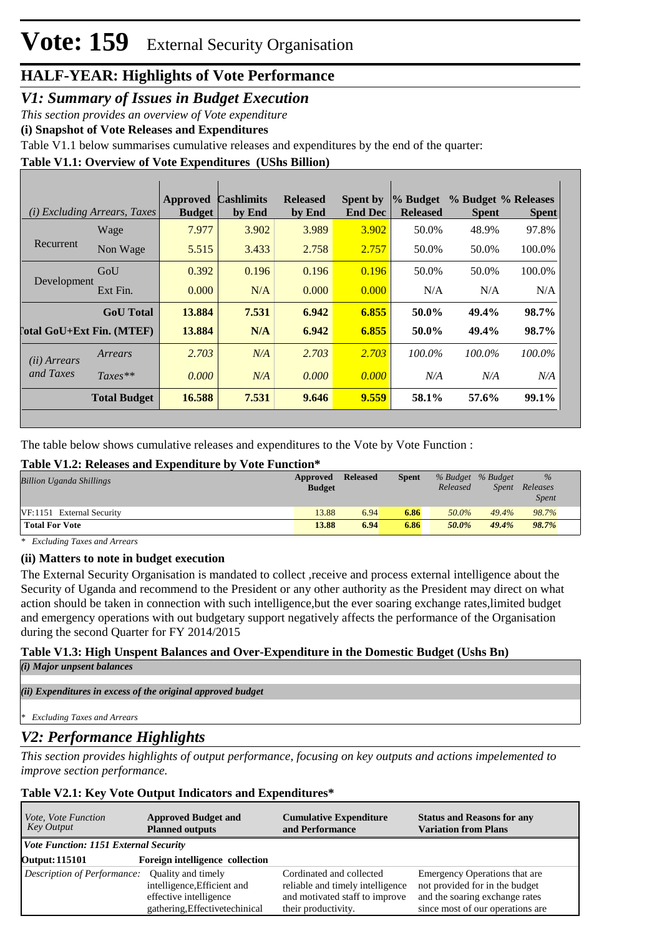# **HALF-YEAR: Highlights of Vote Performance**

## *V1: Summary of Issues in Budget Execution*

*This section provides an overview of Vote expenditure* 

**(i) Snapshot of Vote Releases and Expenditures**

Table V1.1 below summarises cumulative releases and expenditures by the end of the quarter:

#### **Table V1.1: Overview of Vote Expenditures (UShs Billion)**

|                            | (i) Excluding Arrears, Taxes | Approved<br><b>Budget</b> | <b>Cashlimits</b><br>by End | <b>Released</b><br>by End | <b>Spent by</b><br><b>End Dec</b> | % Budget<br><b>Released</b> | % Budget % Releases<br><b>Spent</b> | <b>Spent</b> |
|----------------------------|------------------------------|---------------------------|-----------------------------|---------------------------|-----------------------------------|-----------------------------|-------------------------------------|--------------|
|                            | Wage                         | 7.977                     | 3.902                       | 3.989                     | 3.902                             | 50.0%                       | 48.9%                               | 97.8%        |
| Recurrent                  | Non Wage                     | 5.515                     | 3.433                       | 2.758                     | 2.757                             | 50.0%                       | 50.0%                               | 100.0%       |
|                            | GoU                          | 0.392                     | 0.196                       | 0.196                     | 0.196                             | 50.0%                       | 50.0%                               | 100.0%       |
| Development                | Ext Fin.                     | 0.000                     | N/A                         | 0.000                     | 0.000                             | N/A                         | N/A                                 | N/A          |
|                            | <b>GoU</b> Total             | 13.884                    | 7.531                       | 6.942                     | 6.855                             | 50.0%                       | 49.4%                               | 98.7%        |
| [`otal GoU+Ext Fin. (MTEF) |                              | 13.884                    | N/A                         | 6.942                     | 6.855                             | 50.0%                       | 49.4%                               | 98.7%        |
| (ii) Arrears               | Arrears                      | 2.703                     | N/A                         | 2.703                     | 2.703                             | 100.0%                      | $100.0\%$                           | 100.0%       |
| and Taxes                  | $Taxes**$                    | 0.000                     | N/A                         | 0.000                     | 0.000                             | N/A                         | N/A                                 | N/A          |
|                            | <b>Total Budget</b>          | 16.588                    | 7.531                       | 9.646                     | 9.559                             | 58.1%                       | 57.6%                               | 99.1%        |

The table below shows cumulative releases and expenditures to the Vote by Vote Function :

#### **Table V1.2: Releases and Expenditure by Vote Function\***

| <b>Billion Uganda Shillings</b> | Approved      | <b>Released</b> | <b>Spent</b> | % Budget % Budget |              | $\%$         |
|---------------------------------|---------------|-----------------|--------------|-------------------|--------------|--------------|
|                                 | <b>Budget</b> |                 |              | Released          | <i>Spent</i> | Releases     |
|                                 |               |                 |              |                   |              | <b>Spent</b> |
| VF:1151 External Security       | 13.88         | 6.94            | 6.86         | 50.0%             | 49.4%        | 98.7%        |
| <b>Total For Vote</b>           | 13.88         | 6.94            | 6.86         | 50.0%             | 49.4%        | 98.7%        |

*\* Excluding Taxes and Arrears*

#### **(ii) Matters to note in budget execution**

The External Security Organisation is mandated to collect ,receive and process external intelligence about the Security of Uganda and recommend to the President or any other authority as the President may direct on what action should be taken in connection with such intelligence,but the ever soaring exchange rates,limited budget and emergency operations with out budgetary support negatively affects the performance of the Organisation during the second Quarter for FY 2014/2015

#### **Table V1.3: High Unspent Balances and Over-Expenditure in the Domestic Budget (Ushs Bn)** *(i) Major unpsent balances*

*(ii) Expenditures in excess of the original approved budget*

```
* Excluding Taxes and Arrears
```
## *V2: Performance Highlights*

*This section provides highlights of output performance, focusing on key outputs and actions impelemented to improve section performance.*

#### **Table V2.1: Key Vote Output Indicators and Expenditures\***

| <i>Vote, Vote Function</i>            | <b>Approved Budget and</b>      | <b>Cumulative Expenditure</b>    | <b>Status and Reasons for any</b> |
|---------------------------------------|---------------------------------|----------------------------------|-----------------------------------|
| Key Output                            | <b>Planned outputs</b>          | and Performance                  | <b>Variation from Plans</b>       |
| Vote Function: 1151 External Security |                                 |                                  |                                   |
| <b>Output: 115101</b>                 | Foreign intelligence collection |                                  |                                   |
| Description of Performance:           | <b>Ouality and timely</b>       | Cordinated and collected         | Emergency Operations that are     |
|                                       | intelligence, Efficient and     | reliable and timely intelligence | not provided for in the budget    |
|                                       | effective intelligence          | and motivated staff to improve   | and the soaring exchange rates    |
|                                       | gathering, Effectivetechinical  | their productivity.              | since most of our operations are  |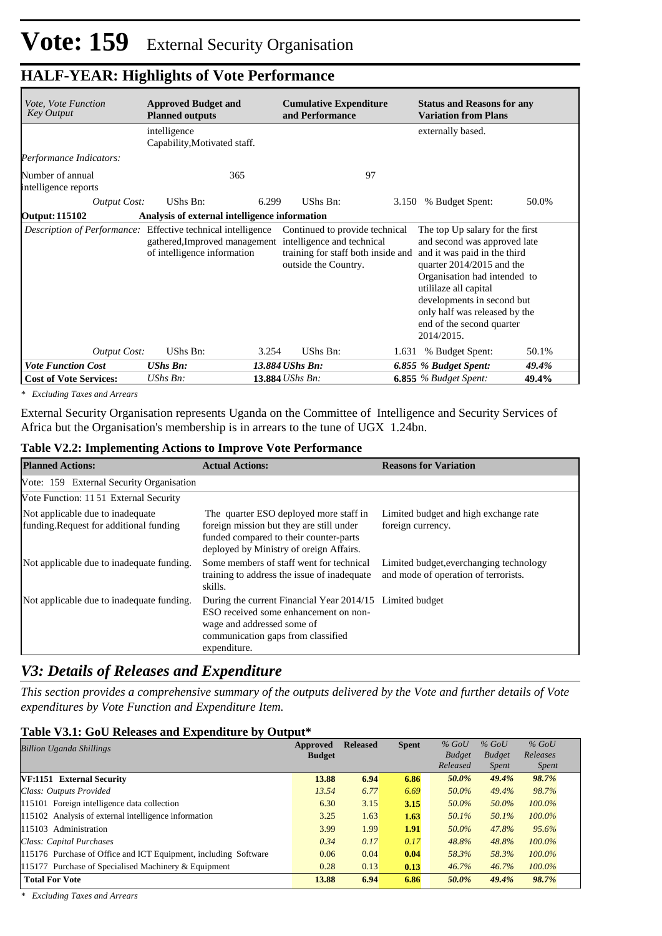# **HALF-YEAR: Highlights of Vote Performance**

| Vote, Vote Function<br><b>Key Output</b>                            | <b>Approved Budget and</b><br><b>Cumulative Expenditure</b><br>and Performance<br><b>Planned outputs</b> |       |                                                                                                                                                          | <b>Status and Reasons for any</b><br><b>Variation from Plans</b> |                                                                                                                                                                                                                                                                                                 |       |  |  |
|---------------------------------------------------------------------|----------------------------------------------------------------------------------------------------------|-------|----------------------------------------------------------------------------------------------------------------------------------------------------------|------------------------------------------------------------------|-------------------------------------------------------------------------------------------------------------------------------------------------------------------------------------------------------------------------------------------------------------------------------------------------|-------|--|--|
|                                                                     | intelligence<br>Capability, Motivated staff.                                                             |       |                                                                                                                                                          |                                                                  | externally based.                                                                                                                                                                                                                                                                               |       |  |  |
| Performance Indicators:                                             |                                                                                                          |       |                                                                                                                                                          |                                                                  |                                                                                                                                                                                                                                                                                                 |       |  |  |
| Number of annual<br>intelligence reports                            | 365                                                                                                      |       | 97                                                                                                                                                       |                                                                  |                                                                                                                                                                                                                                                                                                 |       |  |  |
| <b>Output Cost:</b>                                                 | UShs Bn:                                                                                                 | 6.299 | UShs Bn:                                                                                                                                                 | 3.150                                                            | % Budget Spent:                                                                                                                                                                                                                                                                                 | 50.0% |  |  |
| <b>Output: 115102</b>                                               | Analysis of external intelligence information                                                            |       |                                                                                                                                                          |                                                                  |                                                                                                                                                                                                                                                                                                 |       |  |  |
| <i>Description of Performance:</i> Effective technical intelligence | of intelligence information                                                                              |       | Continued to provide technical<br>gathered, Improved management intelligence and technical<br>training for staff both inside and<br>outside the Country. |                                                                  | The top Up salary for the first<br>and second was approved late<br>and it was paid in the third<br>quarter 2014/2015 and the<br>Organisation had intended to<br>utililaze all capital<br>developments in second but<br>only half was released by the<br>end of the second quarter<br>2014/2015. |       |  |  |
| <b>Output Cost:</b>                                                 | UShs Bn:                                                                                                 | 3.254 | UShs Bn:                                                                                                                                                 |                                                                  | 1.631 % Budget Spent:                                                                                                                                                                                                                                                                           | 50.1% |  |  |
| <b>Vote Function Cost</b>                                           | <b>UShs Bn:</b>                                                                                          |       | 13.884 UShs Bn:                                                                                                                                          |                                                                  | 6.855 % Budget Spent:                                                                                                                                                                                                                                                                           | 49.4% |  |  |
| <b>Cost of Vote Services:</b>                                       | UShs Bn:                                                                                                 |       | 13.884 UShs Bn:                                                                                                                                          |                                                                  | $6.855$ % Budget Spent:                                                                                                                                                                                                                                                                         | 49.4% |  |  |

*\* Excluding Taxes and Arrears*

External Security Organisation represents Uganda on the Committee of Intelligence and Security Services of Africa but the Organisation's membership is in arrears to the tune of UGX 1.24bn.

|  |  | Table V2.2: Implementing Actions to Improve Vote Performance |  |
|--|--|--------------------------------------------------------------|--|
|--|--|--------------------------------------------------------------|--|

| <b>Planned Actions:</b>                                                    | <b>Actual Actions:</b>                                                                                                                                                                | <b>Reasons for Variation</b>                                                    |
|----------------------------------------------------------------------------|---------------------------------------------------------------------------------------------------------------------------------------------------------------------------------------|---------------------------------------------------------------------------------|
| Vote: 159 External Security Organisation                                   |                                                                                                                                                                                       |                                                                                 |
| Vote Function: 1151 External Security                                      |                                                                                                                                                                                       |                                                                                 |
| Not applicable due to inadequate<br>funding.Request for additional funding | The quarter ESO deployed more staff in<br>foreign mission but they are still under<br>funded compared to their counter-parts<br>deployed by Ministry of oreign Affairs.               | Limited budget and high exchange rate<br>foreign currency.                      |
| Not applicable due to inadequate funding.                                  | Some members of staff went for technical<br>training to address the issue of inadequate<br>skills.                                                                                    | Limited budget, everchanging technology<br>and mode of operation of terrorists. |
| Not applicable due to inadequate funding.                                  | During the current Financial Year 2014/15 Limited budget<br>ESO received some enhancement on non-<br>wage and addressed some of<br>communication gaps from classified<br>expenditure. |                                                                                 |

# *V3: Details of Releases and Expenditure*

*This section provides a comprehensive summary of the outputs delivered by the Vote and further details of Vote expenditures by Vote Function and Expenditure Item.*

#### **Table V3.1: GoU Releases and Expenditure by Output\***

| <b>Billion Uganda Shillings</b>                                 | Approved<br><b>Budget</b> | <b>Released</b> | <b>Spent</b> | $%$ GoU<br><b>Budget</b> | $%$ GoU<br><b>Budget</b> | $%$ GoU<br>Releases |
|-----------------------------------------------------------------|---------------------------|-----------------|--------------|--------------------------|--------------------------|---------------------|
|                                                                 |                           |                 |              | Released                 | <i>Spent</i>             | <i>Spent</i>        |
| VF:1151 External Security                                       | 13.88                     | 6.94            | 6.86         | 50.0%                    | 49.4%                    | 98.7%               |
| Class: Outputs Provided                                         | 13.54                     | 6.77            | 6.69         | 50.0%                    | 49.4%                    | 98.7%               |
| 115101 Foreign intelligence data collection                     | 6.30                      | 3.15            | 3.15         | 50.0%                    | 50.0%                    | $100.0\%$           |
| 115102 Analysis of external intelligence information            | 3.25                      | 1.63            | 1.63         | 50.1%                    | 50.1%                    | 100.0%              |
| 115103 Administration                                           | 3.99                      | 1.99            | 1.91         | 50.0%                    | 47.8%                    | 95.6%               |
| Class: Capital Purchases                                        | 0.34                      | 0.17            | 0.17         | 48.8%                    | 48.8%                    | 100.0%              |
| 115176 Purchase of Office and ICT Equipment, including Software | 0.06                      | 0.04            | 0.04         | 58.3%                    | 58.3%                    | $100.0\%$           |
| 115177 Purchase of Specialised Machinery & Equipment            | 0.28                      | 0.13            | 0.13         | 46.7%                    | 46.7%                    | $100.0\%$           |
| <b>Total For Vote</b>                                           | 13.88                     | 6.94            | 6.86         | 50.0%                    | 49.4%                    | 98.7%               |

*\* Excluding Taxes and Arrears*